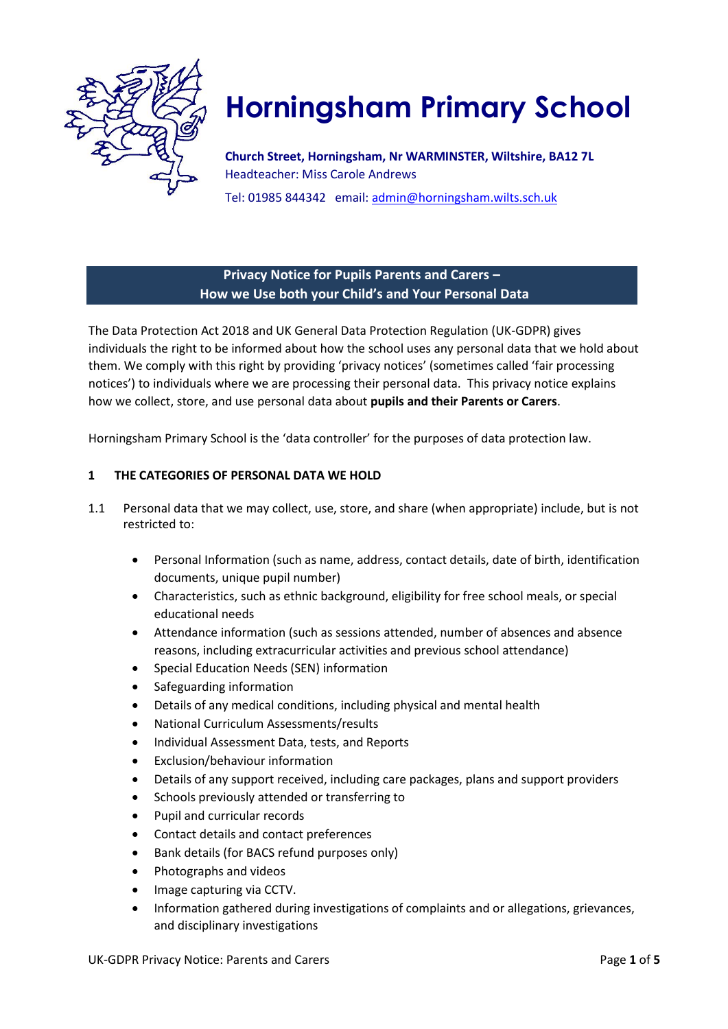

# **Horningsham Primary School**

**Church Street, Horningsham, Nr WARMINSTER, Wiltshire, BA12 7L**  Headteacher: Miss Carole Andrews

Tel: 01985 844342 email: admin@horningsham.wilts.sch.uk

# **Privacy Notice for Pupils Parents and Carers – How we Use both your Child's and Your Personal Data**

The Data Protection Act 2018 and UK General Data Protection Regulation (UK-GDPR) gives individuals the right to be informed about how the school uses any personal data that we hold about them. We comply with this right by providing 'privacy notices' (sometimes called 'fair processing notices') to individuals where we are processing their personal data. This privacy notice explains how we collect, store, and use personal data about **pupils and their Parents or Carers**.

Horningsham Primary School is the 'data controller' for the purposes of data protection law.

# **1 THE CATEGORIES OF PERSONAL DATA WE HOLD**

- 1.1 Personal data that we may collect, use, store, and share (when appropriate) include, but is not restricted to:
	- Personal Information (such as name, address, contact details, date of birth, identification documents, unique pupil number)
	- Characteristics, such as ethnic background, eligibility for free school meals, or special educational needs
	- Attendance information (such as sessions attended, number of absences and absence reasons, including extracurricular activities and previous school attendance)
	- Special Education Needs (SEN) information
	- Safeguarding information
	- Details of any medical conditions, including physical and mental health
	- National Curriculum Assessments/results
	- Individual Assessment Data, tests, and Reports
	- Exclusion/behaviour information
	- Details of any support received, including care packages, plans and support providers
	- Schools previously attended or transferring to
	- Pupil and curricular records
	- Contact details and contact preferences
	- Bank details (for BACS refund purposes only)
	- Photographs and videos
	- Image capturing via CCTV.
	- Information gathered during investigations of complaints and or allegations, grievances, and disciplinary investigations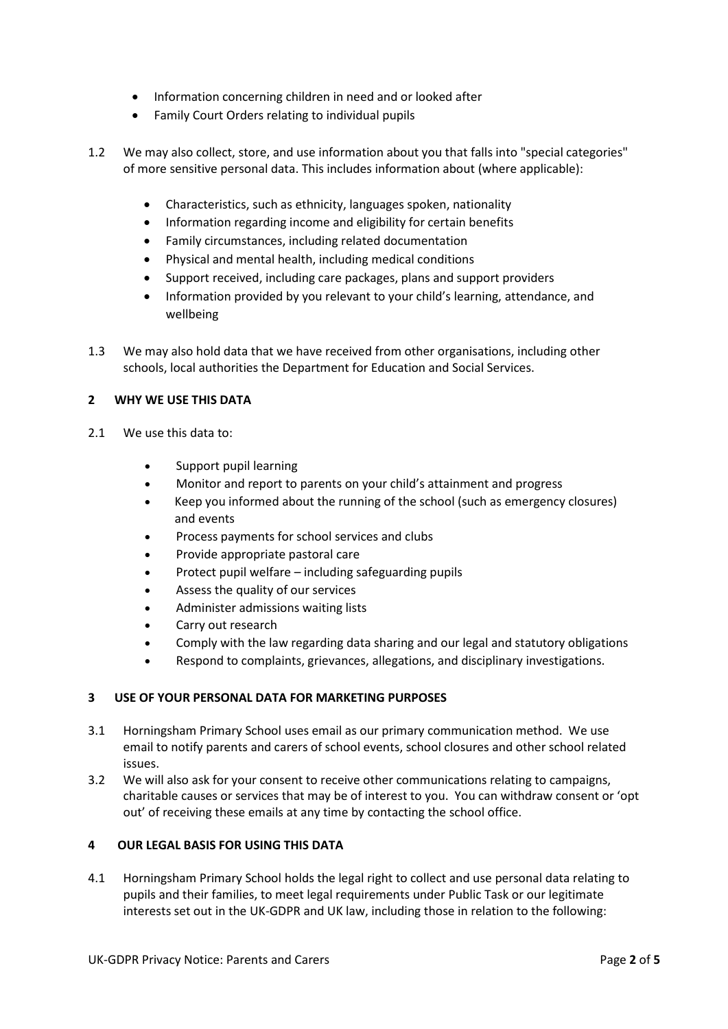- Information concerning children in need and or looked after
- Family Court Orders relating to individual pupils
- 1.2 We may also collect, store, and use information about you that falls into "special categories" of more sensitive personal data. This includes information about (where applicable):
	- Characteristics, such as ethnicity, languages spoken, nationality
	- Information regarding income and eligibility for certain benefits
	- Family circumstances, including related documentation
	- Physical and mental health, including medical conditions
	- Support received, including care packages, plans and support providers
	- Information provided by you relevant to your child's learning, attendance, and wellbeing
- 1.3 We may also hold data that we have received from other organisations, including other schools, local authorities the Department for Education and Social Services.

# **2 WHY WE USE THIS DATA**

- 2.1 We use this data to:
	- Support pupil learning
	- Monitor and report to parents on your child's attainment and progress
	- Keep you informed about the running of the school (such as emergency closures) and events
	- Process payments for school services and clubs
	- Provide appropriate pastoral care
	- Protect pupil welfare including safeguarding pupils
	- Assess the quality of our services
	- Administer admissions waiting lists
	- Carry out research
	- Comply with the law regarding data sharing and our legal and statutory obligations
	- Respond to complaints, grievances, allegations, and disciplinary investigations.

## **3 USE OF YOUR PERSONAL DATA FOR MARKETING PURPOSES**

- 3.1 Horningsham Primary School uses email as our primary communication method. We use email to notify parents and carers of school events, school closures and other school related issues.
- 3.2 We will also ask for your consent to receive other communications relating to campaigns, charitable causes or services that may be of interest to you. You can withdraw consent or 'opt out' of receiving these emails at any time by contacting the school office.

## **4 OUR LEGAL BASIS FOR USING THIS DATA**

4.1 Horningsham Primary School holds the legal right to collect and use personal data relating to pupils and their families, to meet legal requirements under Public Task or our legitimate interests set out in the UK-GDPR and UK law, including those in relation to the following: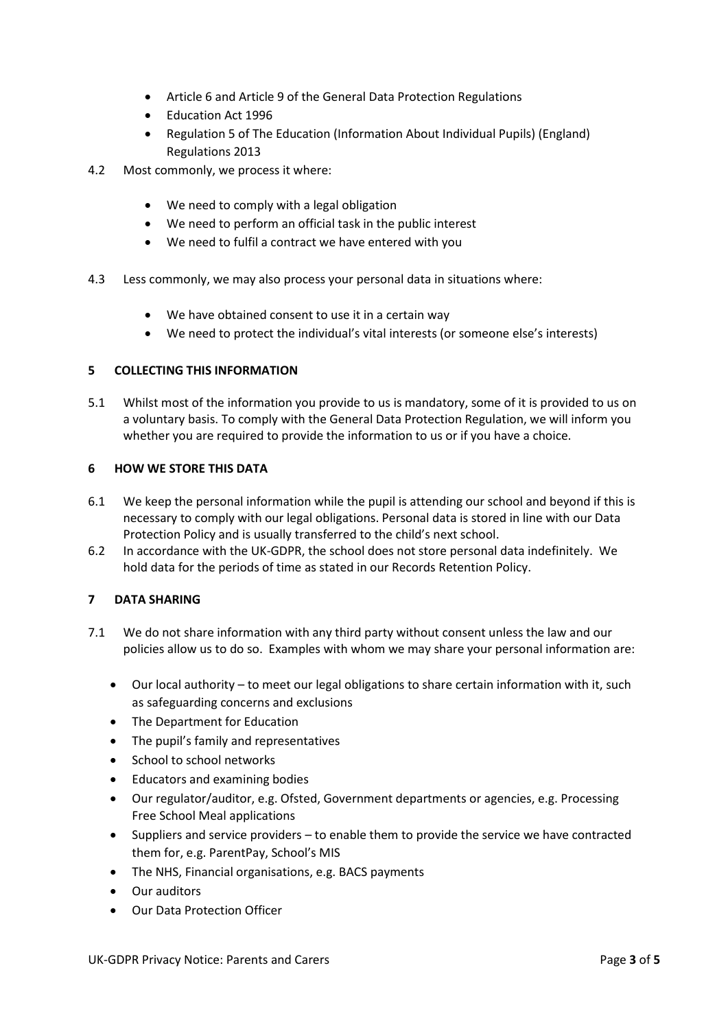- Article 6 and Article 9 of the General Data Protection Regulations
- Education Act 1996
- Regulation 5 of The Education (Information About Individual Pupils) (England) Regulations 2013
- 4.2 Most commonly, we process it where:
	- We need to comply with a legal obligation
	- We need to perform an official task in the public interest
	- We need to fulfil a contract we have entered with you
- 4.3 Less commonly, we may also process your personal data in situations where:
	- We have obtained consent to use it in a certain way
	- We need to protect the individual's vital interests (or someone else's interests)

## **5 COLLECTING THIS INFORMATION**

5.1 Whilst most of the information you provide to us is mandatory, some of it is provided to us on a voluntary basis. To comply with the General Data Protection Regulation, we will inform you whether you are required to provide the information to us or if you have a choice.

## **6 HOW WE STORE THIS DATA**

- 6.1 We keep the personal information while the pupil is attending our school and beyond if this is necessary to comply with our legal obligations. Personal data is stored in line with our Data Protection Policy and is usually transferred to the child's next school.
- 6.2 In accordance with the UK-GDPR, the school does not store personal data indefinitely. We hold data for the periods of time as stated in our Records Retention Policy.

# **7 DATA SHARING**

- 7.1 We do not share information with any third party without consent unless the law and our policies allow us to do so. Examples with whom we may share your personal information are:
	- Our local authority to meet our legal obligations to share certain information with it, such as safeguarding concerns and exclusions
	- The Department for Education
	- The pupil's family and representatives
	- School to school networks
	- Educators and examining bodies
	- Our regulator/auditor, e.g. Ofsted, Government departments or agencies, e.g. Processing Free School Meal applications
	- Suppliers and service providers to enable them to provide the service we have contracted them for, e.g. ParentPay, School's MIS
	- The NHS, Financial organisations, e.g. BACS payments
	- Our auditors
	- Our Data Protection Officer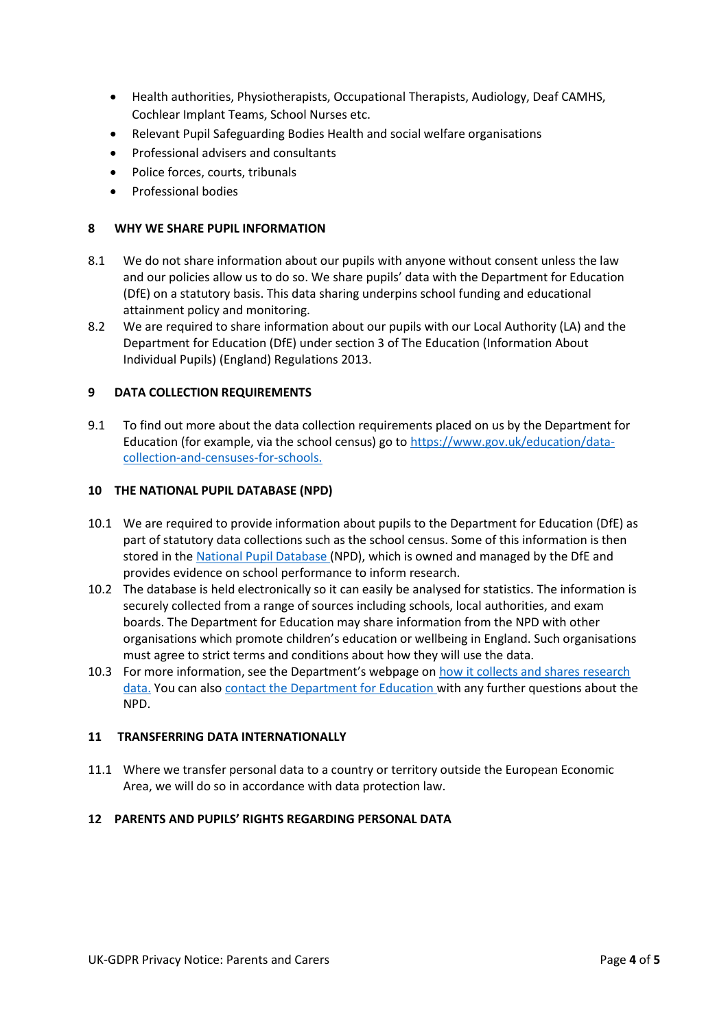- Health authorities, Physiotherapists, Occupational Therapists, Audiology, Deaf CAMHS, Cochlear Implant Teams, School Nurses etc.
- Relevant Pupil Safeguarding Bodies Health and social welfare organisations
- Professional advisers and consultants
- Police forces, courts, tribunals
- Professional bodies

### **8 WHY WE SHARE PUPIL INFORMATION**

- 8.1 We do not share information about our pupils with anyone without consent unless the law and our policies allow us to do so. We share pupils' data with the Department for Education (DfE) on a statutory basis. This data sharing underpins school funding and educational attainment policy and monitoring.
- 8.2 We are required to share information about our pupils with our Local Authority (LA) and the Department for Education (DfE) under section 3 of The Education (Information About Individual Pupils) (England) Regulations 2013.

### **9 DATA COLLECTION REQUIREMENTS**

9.1 To find out more about the data collection requirements placed on us by the Department for Education (for example, via the school census) go t[o https://www.gov.uk/education/data](https://www.gov.uk/education/data-collection-and-censuses-for-schools.)[collection-and-censuses-for-schools.](https://www.gov.uk/education/data-collection-and-censuses-for-schools.) 

#### **10 THE NATIONAL PUPIL DATABASE (NPD)**

- 10.1 We are required to provide information about pupils to the Department for Education (DfE) as part of statutory data collections such as the school census. Some of this information is then stored in th[e National](https://www.gov.uk/government/publications/national-pupil-database-user-guide-and-supporting-information) [Pupil Database](https://www.gov.uk/government/publications/national-pupil-database-user-guide-and-supporting-information) (NPD), which is owned and managed by the DfE and provides evidence on school performance to inform research.
- 10.2 The database is held electronically so it can easily be analysed for statistics. The information is securely collected from a range of sources including schools, local authorities, and exam boards. The Department for Education may share information from the NPD with other organisations which promote children's education or wellbeing in England. Such organisations must agree to strict terms and conditions about how they will use the data.
- 10.3 For more information, see the Department's webpage on [how it collects and shares research](https://www.gov.uk/data-protection-how-we-collect-and-share-research-data)  [data.](https://www.gov.uk/data-protection-how-we-collect-and-share-research-data) You can also [contact the Department for Education](https://www.gov.uk/contact-dfe) with any further questions about the NPD.

#### **11 TRANSFERRING DATA INTERNATIONALLY**

11.1 Where we transfer personal data to a country or territory outside the European Economic Area, we will do so in accordance with data protection law.

#### **12 PARENTS AND PUPILS' RIGHTS REGARDING PERSONAL DATA**